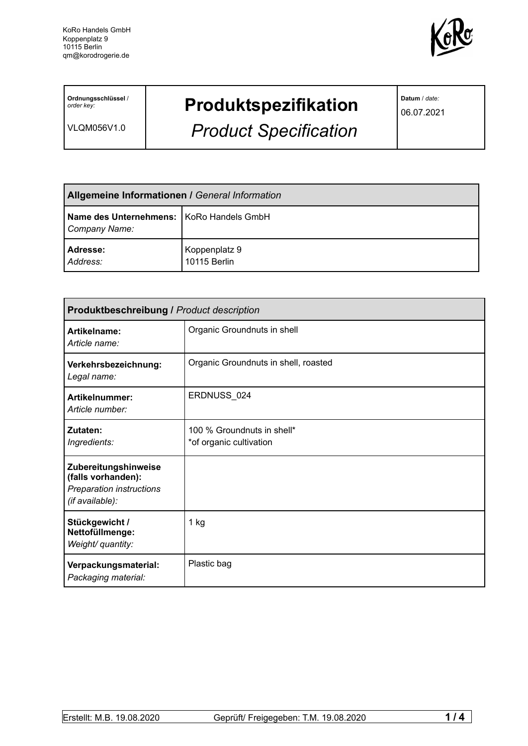

**Ordnungsschlüssel** / *order key:*

VLQM056V1.0

## **Produktspezifikation**

*Product Specification*

**Datum** / *date:*

06.07.2021

| <b>Allgemeine Informationen / General Information</b>       |                               |
|-------------------------------------------------------------|-------------------------------|
| Name des Unternehmens:   KoRo Handels GmbH<br>Company Name: |                               |
| Adresse:<br>Address:                                        | Koppenplatz 9<br>10115 Berlin |

| <b>Produktbeschreibung / Product description</b>                                          |                                                       |  |
|-------------------------------------------------------------------------------------------|-------------------------------------------------------|--|
| Artikelname:<br>Article name:                                                             | Organic Groundnuts in shell                           |  |
| Verkehrsbezeichnung:<br>Legal name:                                                       | Organic Groundnuts in shell, roasted                  |  |
| Artikelnummer:<br>Article number:                                                         | ERDNUSS_024                                           |  |
| Zutaten:<br>Ingredients:                                                                  | 100 % Groundnuts in shell*<br>*of organic cultivation |  |
| Zubereitungshinweise<br>(falls vorhanden):<br>Preparation instructions<br>(if available): |                                                       |  |
| Stückgewicht /<br>Nettofüllmenge:<br>Weight/ quantity:                                    | $1$ kg                                                |  |
| Verpackungsmaterial:<br>Packaging material:                                               | Plastic bag                                           |  |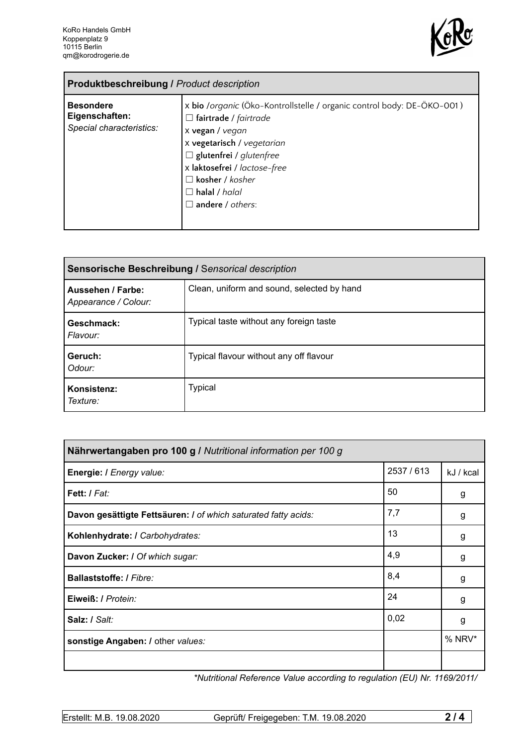

| <b>Produktbeschreibung / Product description</b>               |                                                                                                                                                                                                                                                                                                        |  |  |
|----------------------------------------------------------------|--------------------------------------------------------------------------------------------------------------------------------------------------------------------------------------------------------------------------------------------------------------------------------------------------------|--|--|
| <b>Besondere</b><br>Eigenschaften:<br>Special characteristics: | x bio /organic (Öko-Kontrollstelle / organic control body: DE-ÖKO-001)<br>$\Box$ fairtrade / fairtrade<br>x vegan / vegan<br>x vegetarisch / vegetarian<br>$\Box$ glutenfrei / glutenfree<br>x laktosefrei / lactose-free<br>$\Box$ kosher / kosher<br>$\Box$ halal / halal<br>$\Box$ andere / others: |  |  |

| Sensorische Beschreibung / Sensorical description |                                            |  |
|---------------------------------------------------|--------------------------------------------|--|
| Aussehen / Farbe:<br>Appearance / Colour:         | Clean, uniform and sound, selected by hand |  |
| Geschmack:<br>Flavour:                            | Typical taste without any foreign taste    |  |
| Geruch:<br>Odour:                                 | Typical flavour without any off flavour    |  |
| Konsistenz:<br>Texture:                           | Typical                                    |  |

| Nährwertangaben pro 100 g / Nutritional information per 100 g  |          |           |
|----------------------------------------------------------------|----------|-----------|
| Energie: I Energy value:                                       | 2537/613 | kJ / kcal |
| Fett: / Fat:                                                   | 50       | g         |
| Davon gesättigte Fettsäuren: I of which saturated fatty acids: | 7,7      | g         |
| Kohlenhydrate: I Carbohydrates:                                | 13       | g         |
| Davon Zucker: I Of which sugar:                                | 4,9      | g         |
| Ballaststoffe: / Fibre:                                        | 8,4      | g         |
| Eiweiß: / Protein:                                             | 24       | g         |
| Salz: / Salt:                                                  | 0,02     | g         |
| sonstige Angaben: / other values:                              |          | % NRV*    |
|                                                                |          |           |

*\*Nutritional Reference Value according to regulation (EU) Nr. 1169/2011/*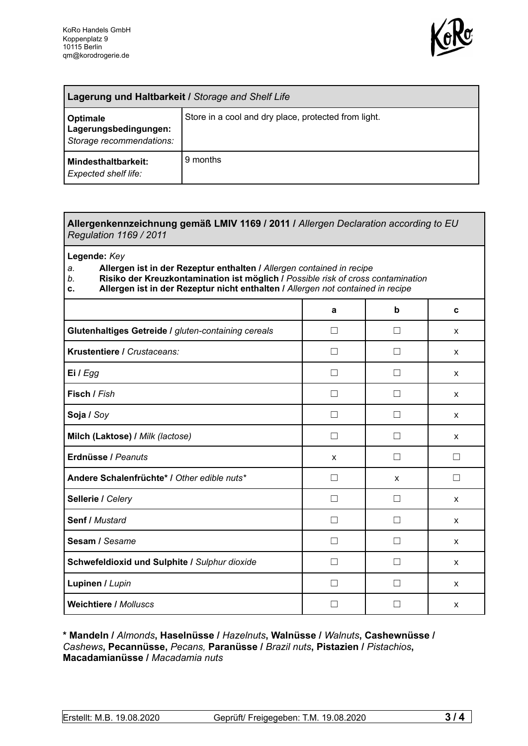

| <b>Lagerung und Haltbarkeit / Storage and Shelf Life</b>             |                                                      |  |
|----------------------------------------------------------------------|------------------------------------------------------|--|
| <b>Optimale</b><br>Lagerungsbedingungen:<br>Storage recommendations: | Store in a cool and dry place, protected from light. |  |
| <b>Mindesthaltbarkeit:</b><br>Expected shelf life:                   | 9 months                                             |  |

## **Allergenkennzeichnung gemäß LMIV 1169 / 2011 /** *Allergen Declaration according to EU Regulation 1169 / 2011*

**Legende:** *Key*

*a.* **Allergen ist in der Rezeptur enthalten /** *Allergen contained in recipe*

- *b.* **Risiko der Kreuzkontamination ist möglich /** *Possible risk of cross contamination*
- **c. Allergen ist in der Rezeptur nicht enthalten /** *Allergen not contained in recipe*

|                                                     | a            | b            | C      |
|-----------------------------------------------------|--------------|--------------|--------|
| Glutenhaltiges Getreide / gluten-containing cereals | - 1          |              | X      |
| Krustentiere / Crustaceans:                         |              |              | X      |
| Ei / Egg                                            |              |              | X      |
| Fisch / Fish                                        |              |              | X      |
| Soja / Soy                                          |              |              | X      |
| Milch (Laktose) / Milk (lactose)                    | П            | $\mathsf{L}$ | X      |
| Erdnüsse / Peanuts                                  | X            | $\Box$       | П      |
| Andere Schalenfrüchte* / Other edible nuts*         | П            | X            | $\Box$ |
| Sellerie / Celery                                   | $\mathsf{L}$ | П            | X      |
| Senf / Mustard                                      | П            | $\Box$       | X      |
| Sesam / Sesame                                      |              |              | X      |
| Schwefeldioxid und Sulphite / Sulphur dioxide       |              |              | X      |
| Lupinen / Lupin                                     |              |              | X      |
| <b>Weichtiere / Molluscs</b>                        |              |              | X      |

**\* Mandeln /** *Almonds***, Haselnüsse /** *Hazelnuts***, Walnüsse /** *Walnuts***, Cashewnüsse /** *Cashews***, Pecannüsse,** *Pecans,* **Paranüsse /** *Brazil nuts***, Pistazien /** *Pistachios***, Macadamianüsse /** *Macadamia nuts*